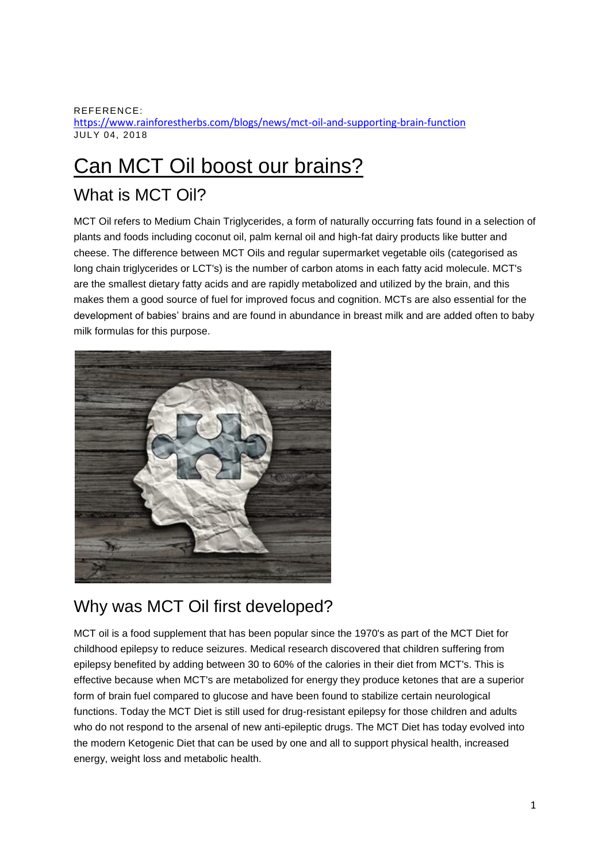REFERENCE: <https://www.rainforestherbs.com/blogs/news/mct-oil-and-supporting-brain-function> JULY 04, 2018

# [Can MCT Oil boost our brains?](https://www.rainforestherbs.com/blogs/news/mct-oil-and-supporting-brain-function)

### What is MCT Oil?

MCT Oil refers to Medium Chain Triglycerides, a form of naturally occurring fats found in a selection of plants and foods including coconut oil, palm kernal oil and high-fat dairy products like butter and cheese. The difference between MCT Oils and regular supermarket vegetable oils (categorised as long chain triglycerides or LCT's) is the number of carbon atoms in each fatty acid molecule. MCT's are the smallest dietary fatty acids and are rapidly metabolized and utilized by the brain, and this makes them a good source of fuel for improved focus and cognition. MCTs are also essential for the development of babies' brains and are found in abundance in breast milk and are added often to baby milk formulas for this purpose.



#### Why was MCT Oil first developed?

MCT oil is a food supplement that has been popular since the 1970's as part of the MCT Diet for childhood epilepsy to reduce seizures. Medical research discovered that children suffering from epilepsy benefited by adding between 30 to 60% of the calories in their diet from MCT's. This is effective because when MCT's are metabolized for energy they produce ketones that are a superior form of brain fuel compared to glucose and have been found to stabilize certain neurological functions. Today the MCT Diet is still used for drug-resistant epilepsy for those children and adults who do not respond to the arsenal of new anti-epileptic drugs. The MCT Diet has today evolved into the modern Ketogenic Diet that can be used by one and all to support physical health, increased energy, weight loss and metabolic health.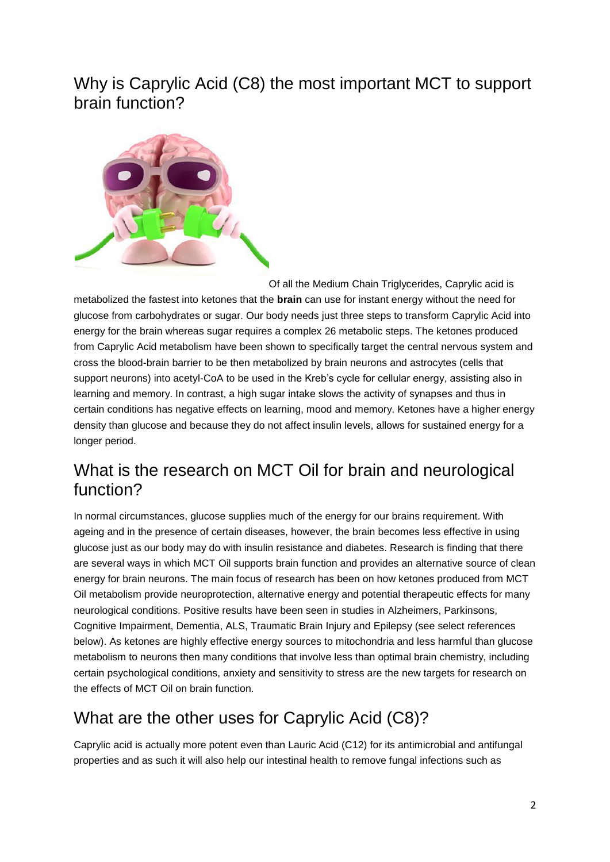#### Why is Caprylic Acid (C8) the most important MCT to support brain function?



Of all the Medium Chain Triglycerides, Caprylic acid is metabolized the fastest into ketones that the **brain** can use for instant energy without the need for glucose from carbohydrates or sugar. Our body needs just three steps to transform Caprylic Acid into energy for the brain whereas sugar requires a complex 26 metabolic steps. The ketones produced from Caprylic Acid metabolism have been shown to specifically target the central nervous system and cross the blood-brain barrier to be then metabolized by brain neurons and astrocytes (cells that support neurons) into acetyl-CoA to be used in the Kreb's cycle for cellular energy, assisting also in learning and memory. In contrast, a high sugar intake slows the activity of synapses and thus in certain conditions has negative effects on learning, mood and memory. Ketones have a higher energy density than glucose and because they do not affect insulin levels, allows for sustained energy for a longer period.

### What is the research on MCT Oil for brain and neurological function?

In normal circumstances, glucose supplies much of the energy for our brains requirement. With ageing and in the presence of certain diseases, however, the brain becomes less effective in using glucose just as our body may do with insulin resistance and diabetes. Research is finding that there are several ways in which MCT Oil supports brain function and provides an alternative source of clean energy for brain neurons. The main focus of research has been on how ketones produced from MCT Oil metabolism provide neuroprotection, alternative energy and potential therapeutic effects for many neurological conditions. Positive results have been seen in studies in Alzheimers, Parkinsons, Cognitive Impairment, Dementia, ALS, Traumatic Brain Injury and Epilepsy (see select references below). As ketones are highly effective energy sources to mitochondria and less harmful than glucose metabolism to neurons then many conditions that involve less than optimal brain chemistry, including certain psychological conditions, anxiety and sensitivity to stress are the new targets for research on the effects of MCT Oil on brain function.

### What are the other uses for Caprylic Acid (C8)?

Caprylic acid is actually more potent even than Lauric Acid (C12) for its antimicrobial and antifungal properties and as such it will also help our intestinal health to remove fungal infections such as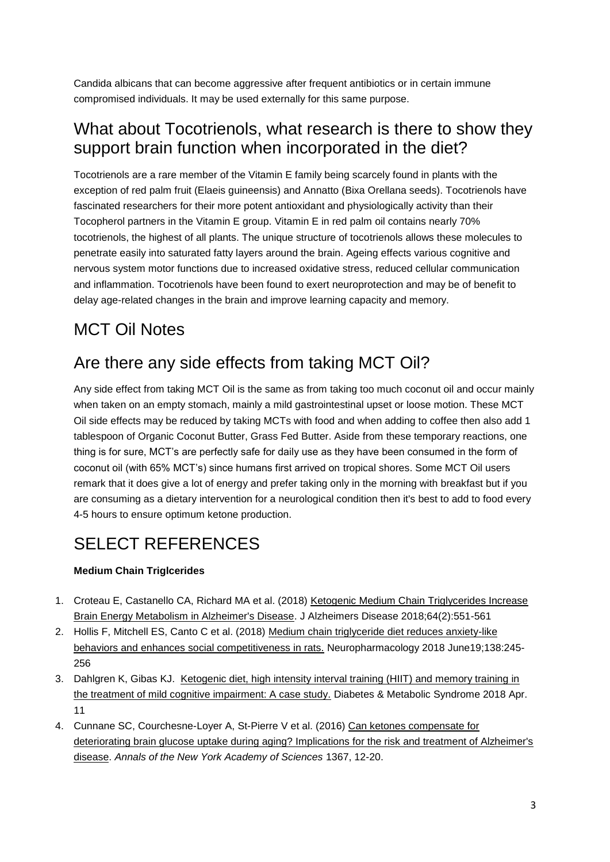Candida albicans that can become aggressive after frequent antibiotics or in certain immune compromised individuals. It may be used externally for this same purpose.

#### What about Tocotrienols, what research is there to show they support brain function when incorporated in the diet?

Tocotrienols are a rare member of the Vitamin E family being scarcely found in plants with the exception of red palm fruit (Elaeis guineensis) and Annatto (Bixa Orellana seeds). Tocotrienols have fascinated researchers for their more potent antioxidant and physiologically activity than their Tocopherol partners in the Vitamin E group. Vitamin E in red palm oil contains nearly 70% tocotrienols, the highest of all plants. The unique structure of tocotrienols allows these molecules to penetrate easily into saturated fatty layers around the brain. Ageing effects various cognitive and nervous system motor functions due to increased oxidative stress, reduced cellular communication and inflammation. Tocotrienols have been found to exert neuroprotection and may be of benefit to delay age-related changes in the brain and improve learning capacity and memory.

## MCT Oil Notes

### Are there any side effects from taking MCT Oil?

Any side effect from taking MCT Oil is the same as from taking too much coconut oil and occur mainly when taken on an empty stomach, mainly a mild gastrointestinal upset or loose motion. These MCT Oil side effects may be reduced by taking MCTs with food and when adding to coffee then also add 1 tablespoon of Organic Coconut Butter, Grass Fed Butter. Aside from these temporary reactions, one thing is for sure, MCT's are perfectly safe for daily use as they have been consumed in the form of coconut oil (with 65% MCT's) since humans first arrived on tropical shores. Some MCT Oil users remark that it does give a lot of energy and prefer taking only in the morning with breakfast but if you are consuming as a dietary intervention for a neurological condition then it's best to add to food every 4-5 hours to ensure optimum ketone production.

## SELECT REFERENCES

#### **Medium Chain Triglcerides**

- 1. Croteau E, Castanello CA, Richard MA et al. (2018) [Ketogenic Medium Chain Triglycerides Increase](https://www.ncbi.nlm.nih.gov/pubmed/29914035)  [Brain Energy Metabolism in Alzheimer's Disease.](https://www.ncbi.nlm.nih.gov/pubmed/29914035) J Alzheimers Disease 2018;64(2):551-561
- 2. Hollis F, Mitchell ES, Canto C et al. (2018) Medium chain triglyceride diet reduces anxiety-like [behaviors and enhances social competitiveness in rats.](https://www.ncbi.nlm.nih.gov/pubmed/29908242) Neuropharmacology 2018 June19;138:245- 256
- 3. Dahlgren K, Gibas KJ. Ketogenic diet, high intensity interval training (HIIT) and memory training in [the treatment of mild cognitive impairment: A case study.](https://www.ncbi.nlm.nih.gov/pubmed/29678606) Diabetes & Metabolic Syndrome 2018 Apr. 11
- 4. Cunnane SC, Courchesne-Loyer A, St-Pierre V et al. (2016) [Can ketones compensate for](http://www.ncbi.nlm.nih.gov/pubmed/26766547)  [deteriorating brain glucose uptake during aging? Implications for the risk and treatment of Alzheimer's](http://www.ncbi.nlm.nih.gov/pubmed/26766547)  [disease.](http://www.ncbi.nlm.nih.gov/pubmed/26766547) *Annals of the New York Academy of Sciences* 1367, 12-20.